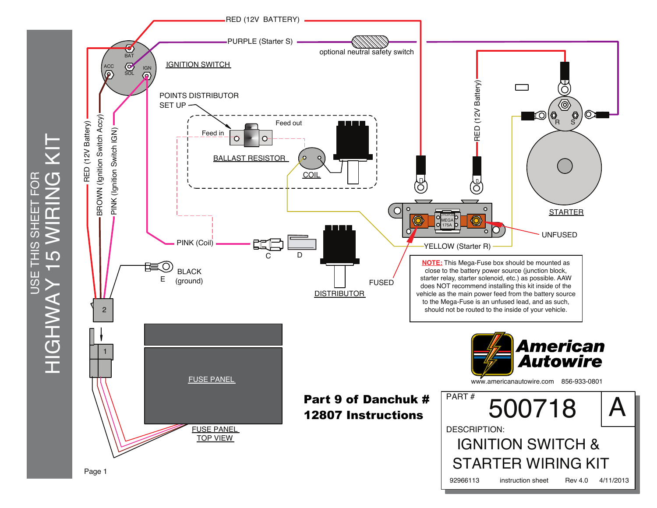HIGHWAY 15 WIRING KIT  $\overline{C}$ USE THIS SHEET FOR 區  $\overline{5}$ **CIHT LO USE** YYYHOIH